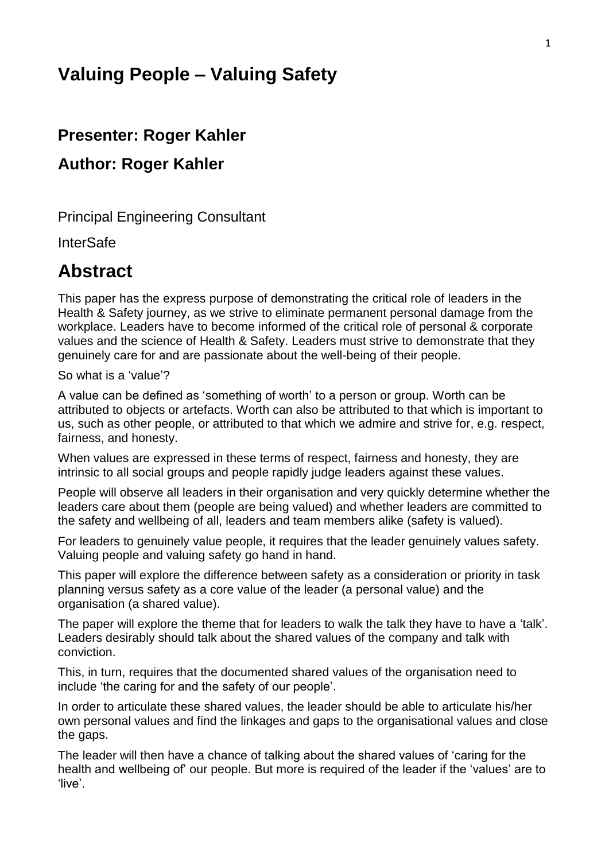# **Valuing People – Valuing Safety**

# **Presenter: Roger Kahler**

# **Author: Roger Kahler**

Principal Engineering Consultant

**InterSafe** 

# **Abstract**

This paper has the express purpose of demonstrating the critical role of leaders in the Health & Safety journey, as we strive to eliminate permanent personal damage from the workplace. Leaders have to become informed of the critical role of personal & corporate values and the science of Health & Safety. Leaders must strive to demonstrate that they genuinely care for and are passionate about the well-being of their people.

So what is a 'value'?

A value can be defined as 'something of worth' to a person or group. Worth can be attributed to objects or artefacts. Worth can also be attributed to that which is important to us, such as other people, or attributed to that which we admire and strive for, e.g. respect, fairness, and honesty.

When values are expressed in these terms of respect, fairness and honesty, they are intrinsic to all social groups and people rapidly judge leaders against these values.

People will observe all leaders in their organisation and very quickly determine whether the leaders care about them (people are being valued) and whether leaders are committed to the safety and wellbeing of all, leaders and team members alike (safety is valued).

For leaders to genuinely value people, it requires that the leader genuinely values safety. Valuing people and valuing safety go hand in hand.

This paper will explore the difference between safety as a consideration or priority in task planning versus safety as a core value of the leader (a personal value) and the organisation (a shared value).

The paper will explore the theme that for leaders to walk the talk they have to have a 'talk'. Leaders desirably should talk about the shared values of the company and talk with conviction.

This, in turn, requires that the documented shared values of the organisation need to include 'the caring for and the safety of our people'.

In order to articulate these shared values, the leader should be able to articulate his/her own personal values and find the linkages and gaps to the organisational values and close the gaps.

The leader will then have a chance of talking about the shared values of 'caring for the health and wellbeing of' our people. But more is required of the leader if the 'values' are to 'live'.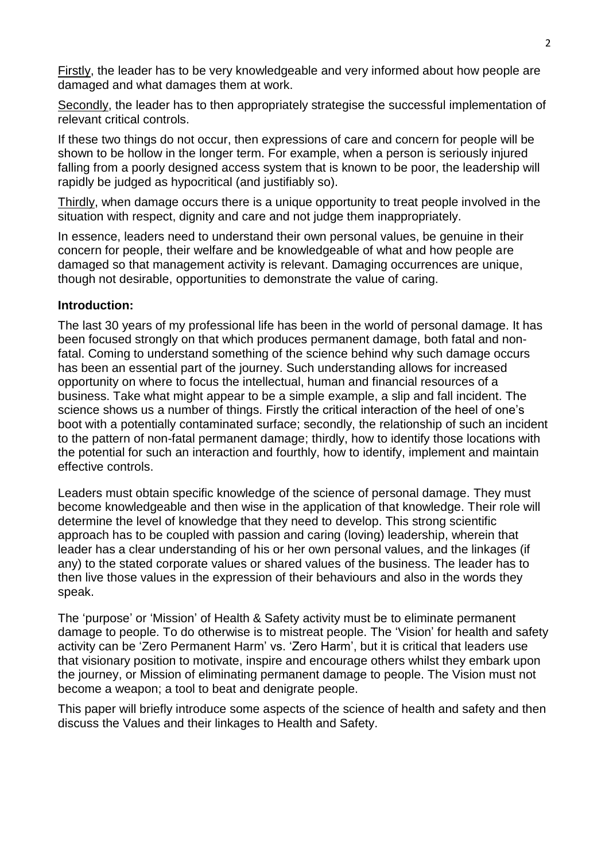Firstly, the leader has to be very knowledgeable and very informed about how people are damaged and what damages them at work.

Secondly, the leader has to then appropriately strategise the successful implementation of relevant critical controls.

If these two things do not occur, then expressions of care and concern for people will be shown to be hollow in the longer term. For example, when a person is seriously injured falling from a poorly designed access system that is known to be poor, the leadership will rapidly be judged as hypocritical (and justifiably so).

Thirdly, when damage occurs there is a unique opportunity to treat people involved in the situation with respect, dignity and care and not judge them inappropriately.

In essence, leaders need to understand their own personal values, be genuine in their concern for people, their welfare and be knowledgeable of what and how people are damaged so that management activity is relevant. Damaging occurrences are unique, though not desirable, opportunities to demonstrate the value of caring.

#### **Introduction:**

The last 30 years of my professional life has been in the world of personal damage. It has been focused strongly on that which produces permanent damage, both fatal and nonfatal. Coming to understand something of the science behind why such damage occurs has been an essential part of the journey. Such understanding allows for increased opportunity on where to focus the intellectual, human and financial resources of a business. Take what might appear to be a simple example, a slip and fall incident. The science shows us a number of things. Firstly the critical interaction of the heel of one's boot with a potentially contaminated surface; secondly, the relationship of such an incident to the pattern of non-fatal permanent damage; thirdly, how to identify those locations with the potential for such an interaction and fourthly, how to identify, implement and maintain effective controls.

Leaders must obtain specific knowledge of the science of personal damage. They must become knowledgeable and then wise in the application of that knowledge. Their role will determine the level of knowledge that they need to develop. This strong scientific approach has to be coupled with passion and caring (loving) leadership, wherein that leader has a clear understanding of his or her own personal values, and the linkages (if any) to the stated corporate values or shared values of the business. The leader has to then live those values in the expression of their behaviours and also in the words they speak.

The 'purpose' or 'Mission' of Health & Safety activity must be to eliminate permanent damage to people. To do otherwise is to mistreat people. The 'Vision' for health and safety activity can be 'Zero Permanent Harm' vs. 'Zero Harm', but it is critical that leaders use that visionary position to motivate, inspire and encourage others whilst they embark upon the journey, or Mission of eliminating permanent damage to people. The Vision must not become a weapon; a tool to beat and denigrate people.

This paper will briefly introduce some aspects of the science of health and safety and then discuss the Values and their linkages to Health and Safety.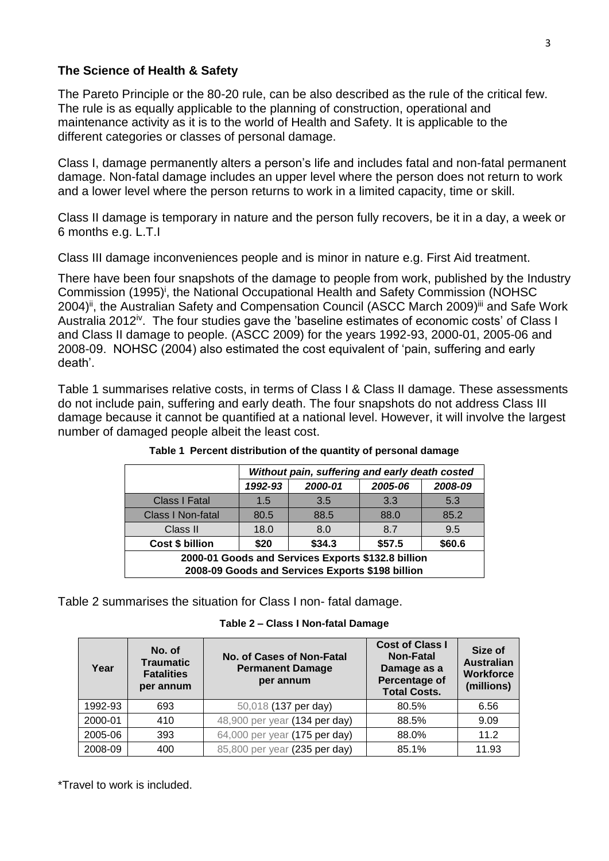## **The Science of Health & Safety**

The Pareto Principle or the 80-20 rule, can be also described as the rule of the critical few. The rule is as equally applicable to the planning of construction, operational and maintenance activity as it is to the world of Health and Safety. It is applicable to the different categories or classes of personal damage.

Class I, damage permanently alters a person's life and includes fatal and non-fatal permanent damage. Non-fatal damage includes an upper level where the person does not return to work and a lower level where the person returns to work in a limited capacity, time or skill.

Class II damage is temporary in nature and the person fully recovers, be it in a day, a week or 6 months e.g. L.T.I

Class III damage inconveniences people and is minor in nature e.g. First Aid treatment.

<span id="page-2-3"></span><span id="page-2-2"></span>There have been four snapshots of the damage to people from work, published by the Industry Commission (1995)<sup>i</sup>, the National Occupational Health and Safety Commission (NOHSC 2004)<sup>ii</sup>, the Australian Safety and Compensation Council (ASCC March 2009)<sup>iii</sup> and Safe Work Australia 2012<sup>iv</sup>. The four studies gave the 'baseline estimates of economic costs' of Class I and Class II damage to people. (ASCC 2009) for the years 1992-93, 2000-01, 2005-06 and 2008-09. NOHSC (2004) also estimated the cost equivalent of 'pain, suffering and early death'.

Table 1 summarises relative costs, in terms of Class I & Class II damage. These assessments do not include pain, suffering and early death. The four snapshots do not address Class III damage because it cannot be quantified at a national level. However, it will involve the largest number of damaged people albeit the least cost.

|                                                                                                        | Without pain, suffering and early death costed |         |         |         |  |
|--------------------------------------------------------------------------------------------------------|------------------------------------------------|---------|---------|---------|--|
|                                                                                                        | 1992-93                                        | 2000-01 | 2005-06 | 2008-09 |  |
| <b>Class I Fatal</b>                                                                                   | 1.5                                            | 3.5     | 3.3     | 5.3     |  |
| <b>Class I Non-fatal</b>                                                                               | 80.5                                           | 88.5    | 88.0    | 85.2    |  |
| <b>Class II</b>                                                                                        | 18.0                                           | 8.0     | 8.7     | 9.5     |  |
| Cost \$ billion                                                                                        | \$20                                           | \$34.3  | \$57.5  | \$60.6  |  |
| 2000-01 Goods and Services Exports \$132.8 billion<br>2008-09 Goods and Services Exports \$198 billion |                                                |         |         |         |  |

<span id="page-2-1"></span>**Table 1 Percent distribution of the quantity of personal damage**

<span id="page-2-0"></span>[Table 2](#page-2-0) summarises the situation for Class I non- fatal damage.

|  |  |  |  | Table 2 - Class I Non-fatal Damage |  |
|--|--|--|--|------------------------------------|--|
|--|--|--|--|------------------------------------|--|

| Year    | No. of<br><b>Traumatic</b><br><b>Fatalities</b><br>per annum | No. of Cases of Non-Fatal<br><b>Permanent Damage</b><br>per annum | <b>Cost of Class I</b><br><b>Non-Fatal</b><br>Damage as a<br>Percentage of<br><b>Total Costs.</b> | Size of<br><b>Australian</b><br><b>Workforce</b><br>(millions) |
|---------|--------------------------------------------------------------|-------------------------------------------------------------------|---------------------------------------------------------------------------------------------------|----------------------------------------------------------------|
| 1992-93 | 693                                                          | 50,018 (137 per day)                                              | 80.5%                                                                                             | 6.56                                                           |
| 2000-01 | 410                                                          | 48,900 per year (134 per day)                                     | 88.5%                                                                                             | 9.09                                                           |
| 2005-06 | 393                                                          | 64,000 per year (175 per day)                                     | 88.0%                                                                                             | 11.2                                                           |
| 2008-09 | 400                                                          | 85,800 per year (235 per day)                                     | 85.1%                                                                                             | 11.93                                                          |

\*Travel to work is included.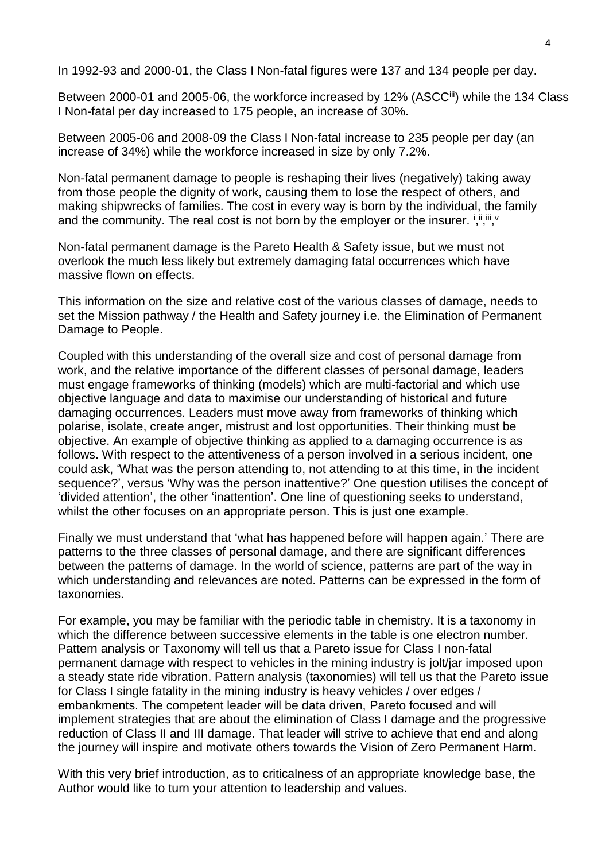In 1992-93 and 2000-01, the Class I Non-fatal figures were 137 and 134 people per day.

Between 2000-01 and 2005-06, the workforce increased by 12% (ASCC<sup>[iii](#page-2-1)</sup>) while the 134 Class I Non-fatal per day increased to 175 people, an increase of 30%.

Between 2005-06 and 2008-09 the Class I Non-fatal increase to 235 people per day (an increase of 34%) while the workforce increased in size by only 7.2%.

Non-fatal permanent damage to people is reshaping their lives (negatively) taking away from those people the dignity of work, causing them to lose the respect of others, and making shipwrecks of families. The cost in every way is born by the individual, the family and the community. The real cost is not born by the employer or the insurer.  $i, ii, iii, v$  $i, ii, iii, v$  $i, ii, iii, v$  $i, ii, iii, v$  $i, ii, iii, v$  $i, ii, iii, v$  $i, ii, iii, v$  $i, ii, iii, v$ 

Non-fatal permanent damage is the Pareto Health & Safety issue, but we must not overlook the much less likely but extremely damaging fatal occurrences which have massive flown on effects.

This information on the size and relative cost of the various classes of damage, needs to set the Mission pathway / the Health and Safety journey i.e. the Elimination of Permanent Damage to People.

Coupled with this understanding of the overall size and cost of personal damage from work, and the relative importance of the different classes of personal damage, leaders must engage frameworks of thinking (models) which are multi-factorial and which use objective language and data to maximise our understanding of historical and future damaging occurrences. Leaders must move away from frameworks of thinking which polarise, isolate, create anger, mistrust and lost opportunities. Their thinking must be objective. An example of objective thinking as applied to a damaging occurrence is as follows. With respect to the attentiveness of a person involved in a serious incident, one could ask, 'What was the person attending to, not attending to at this time, in the incident sequence?', versus 'Why was the person inattentive?' One question utilises the concept of 'divided attention', the other 'inattention'. One line of questioning seeks to understand, whilst the other focuses on an appropriate person. This is just one example.

Finally we must understand that 'what has happened before will happen again.' There are patterns to the three classes of personal damage, and there are significant differences between the patterns of damage. In the world of science, patterns are part of the way in which understanding and relevances are noted. Patterns can be expressed in the form of taxonomies.

For example, you may be familiar with the periodic table in chemistry. It is a taxonomy in which the difference between successive elements in the table is one electron number. Pattern analysis or Taxonomy will tell us that a Pareto issue for Class I non-fatal permanent damage with respect to vehicles in the mining industry is jolt/jar imposed upon a steady state ride vibration. Pattern analysis (taxonomies) will tell us that the Pareto issue for Class I single fatality in the mining industry is heavy vehicles / over edges / embankments. The competent leader will be data driven, Pareto focused and will implement strategies that are about the elimination of Class I damage and the progressive reduction of Class II and III damage. That leader will strive to achieve that end and along the journey will inspire and motivate others towards the Vision of Zero Permanent Harm.

With this very brief introduction, as to criticalness of an appropriate knowledge base, the Author would like to turn your attention to leadership and values.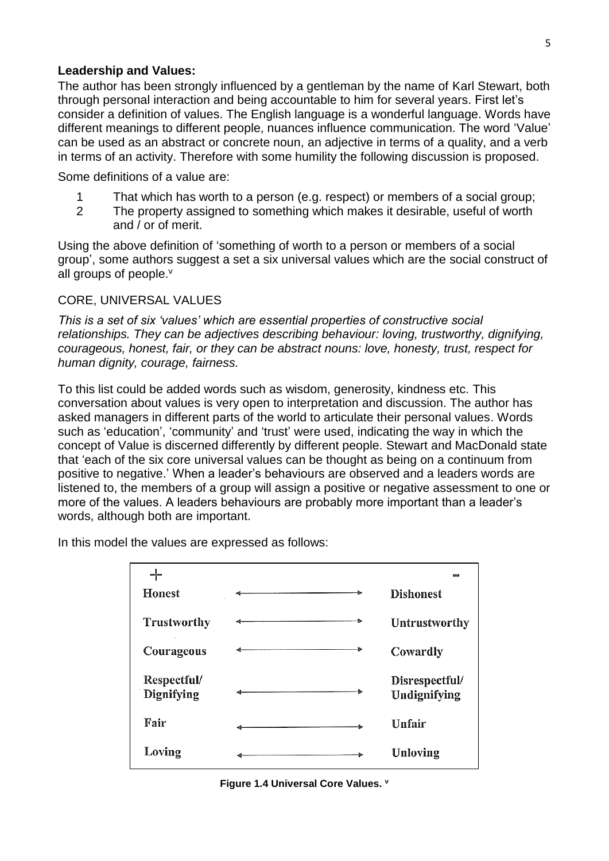#### **Leadership and Values:**

The author has been strongly influenced by a gentleman by the name of Karl Stewart, both through personal interaction and being accountable to him for several years. First let's consider a definition of values. The English language is a wonderful language. Words have different meanings to different people, nuances influence communication. The word 'Value' can be used as an abstract or concrete noun, an adjective in terms of a quality, and a verb in terms of an activity. Therefore with some humility the following discussion is proposed.

Some definitions of a value are:

- 1 That which has worth to a person (e.g. respect) or members of a social group;
- <span id="page-4-0"></span>2 The property assigned to something which makes it desirable, useful of worth and / or of merit.

Using the above definition of 'something of worth to a person or members of a social group', some authors suggest a set a six universal values which are the social construct of all groups of people.<sup>v</sup>

#### CORE, UNIVERSAL VALUES

*This is a set of six 'values' which are essential properties of constructive social relationships. They can be adjectives describing behaviour: loving, trustworthy, dignifying, courageous, honest, fair, or they can be abstract nouns: love, honesty, trust, respect for human dignity, courage, fairness.*

To this list could be added words such as wisdom, generosity, kindness etc. This conversation about values is very open to interpretation and discussion. The author has asked managers in different parts of the world to articulate their personal values. Words such as 'education', 'community' and 'trust' were used, indicating the way in which the concept of Value is discerned differently by different people. Stewart and MacDonald state that 'each of the six core universal values can be thought as being on a continuum from positive to negative.' When a leader's behaviours are observed and a leaders words are listened to, the members of a group will assign a positive or negative assessment to one or more of the values. A leaders behaviours are probably more important than a leader's words, although both are important.

In this model the values are expressed as follows:

| <b>Honest</b>             | <b>Dishonest</b>               |
|---------------------------|--------------------------------|
| Trustworthy               | <b>Untrustworthy</b>           |
| Courageous                | Cowardly                       |
| Respectful/<br>Dignifying | Disrespectful/<br>Undignifying |
| Fair                      | Unfair                         |
| Loving                    | Unloving                       |

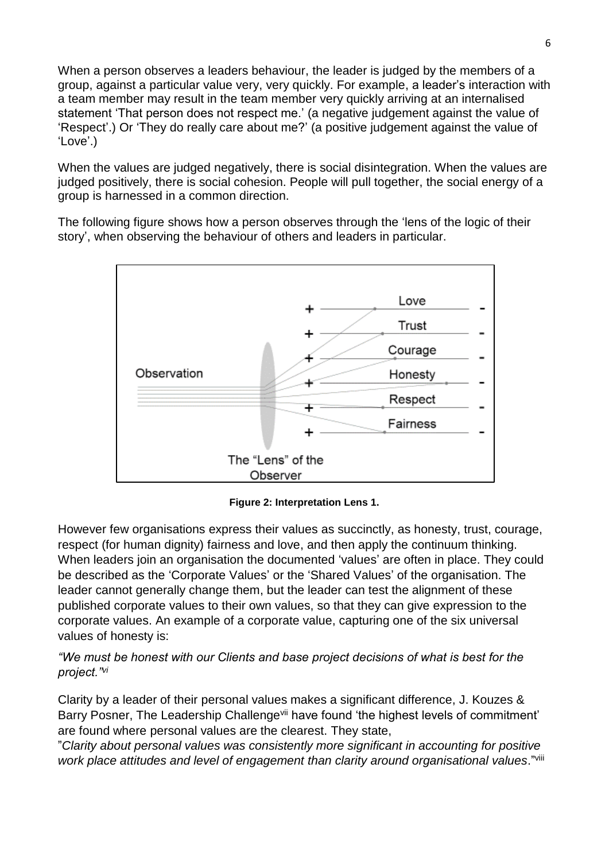When a person observes a leaders behaviour, the leader is judged by the members of a group, against a particular value very, very quickly. For example, a leader's interaction with a team member may result in the team member very quickly arriving at an internalised statement 'That person does not respect me.' (a negative judgement against the value of 'Respect'.) Or 'They do really care about me?' (a positive judgement against the value of 'Love'.)

When the values are judged negatively, there is social disintegration. When the values are judged positively, there is social cohesion. People will pull together, the social energy of a group is harnessed in a common direction.

The following figure shows how a person observes through the 'lens of the logic of their story', when observing the behaviour of others and leaders in particular.



**Figure 2: Interpretation Lens 1.**

However few organisations express their values as succinctly, as honesty, trust, courage, respect (for human dignity) fairness and love, and then apply the continuum thinking. When leaders join an organisation the documented 'values' are often in place. They could be described as the 'Corporate Values' or the 'Shared Values' of the organisation. The leader cannot generally change them, but the leader can test the alignment of these published corporate values to their own values, so that they can give expression to the corporate values. An example of a corporate value, capturing one of the six universal values of honesty is:

<span id="page-5-0"></span>*"We must be honest with our Clients and base project decisions of what is best for the project."vi*

Clarity by a leader of their personal values makes a significant difference, J. Kouzes & Barry Posner, The Leadership Challenge<sup>vii</sup> have found 'the highest levels of commitment' are found where personal values are the clearest. They state,

"*Clarity about personal values was consistently more significant in accounting for positive work place attitudes and level of engagement than clarity around organisational values*."viii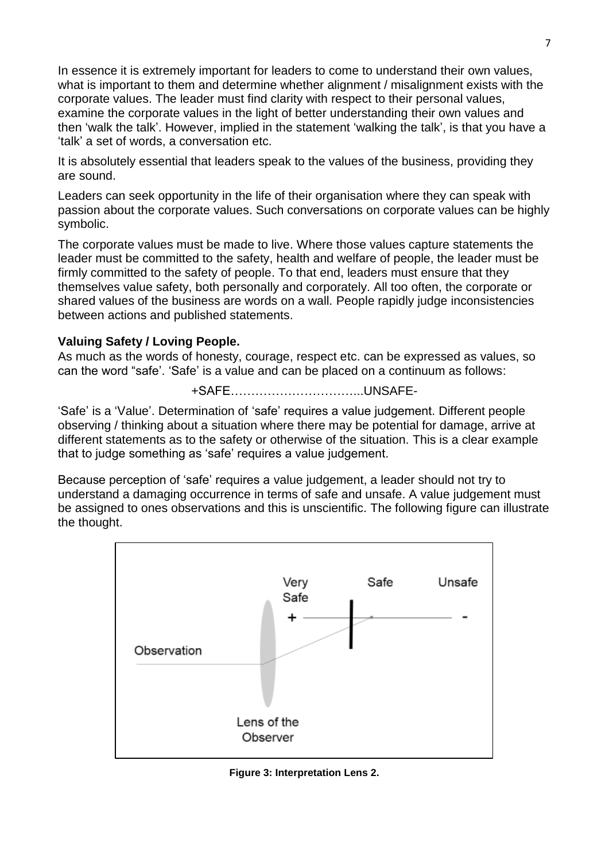In essence it is extremely important for leaders to come to understand their own values, what is important to them and determine whether alignment / misalignment exists with the corporate values. The leader must find clarity with respect to their personal values, examine the corporate values in the light of better understanding their own values and then 'walk the talk'. However, implied in the statement 'walking the talk', is that you have a 'talk' a set of words, a conversation etc.

It is absolutely essential that leaders speak to the values of the business, providing they are sound.

Leaders can seek opportunity in the life of their organisation where they can speak with passion about the corporate values. Such conversations on corporate values can be highly symbolic.

The corporate values must be made to live. Where those values capture statements the leader must be committed to the safety, health and welfare of people, the leader must be firmly committed to the safety of people. To that end, leaders must ensure that they themselves value safety, both personally and corporately. All too often, the corporate or shared values of the business are words on a wall. People rapidly judge inconsistencies between actions and published statements.

## **Valuing Safety / Loving People.**

As much as the words of honesty, courage, respect etc. can be expressed as values, so can the word "safe'. 'Safe' is a value and can be placed on a continuum as follows:

+SAFE…………………………...UNSAFE-

'Safe' is a 'Value'. Determination of 'safe' requires a value judgement. Different people observing / thinking about a situation where there may be potential for damage, arrive at different statements as to the safety or otherwise of the situation. This is a clear example that to judge something as 'safe' requires a value judgement.

Because perception of 'safe' requires a value judgement, a leader should not try to understand a damaging occurrence in terms of safe and unsafe. A value judgement must be assigned to ones observations and this is unscientific. The following figure can illustrate the thought.



**Figure 3: Interpretation Lens 2.**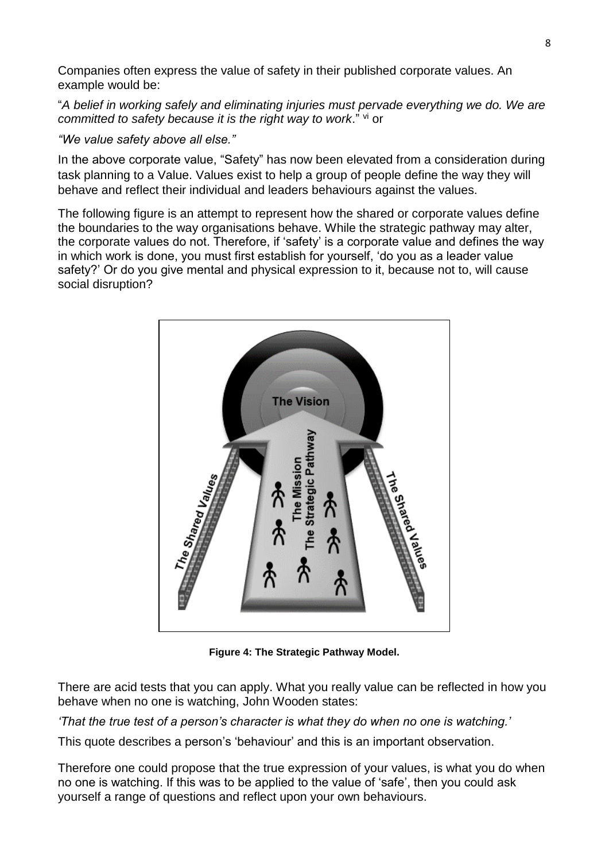Companies often express the value of safety in their published corporate values. An example would be:

"*A belief in working safely and eliminating injuries must pervade everything we do. We are*  committed to safety because it is the right way to work." [vi](#page-5-0) or

*"We value safety above all else."*

In the above corporate value, "Safety" has now been elevated from a consideration during task planning to a Value. Values exist to help a group of people define the way they will behave and reflect their individual and leaders behaviours against the values.

The following figure is an attempt to represent how the shared or corporate values define the boundaries to the way organisations behave. While the strategic pathway may alter, the corporate values do not. Therefore, if 'safety' is a corporate value and defines the way in which work is done, you must first establish for yourself, 'do you as a leader value safety?' Or do you give mental and physical expression to it, because not to, will cause social disruption?



**Figure 4: The Strategic Pathway Model.**

There are acid tests that you can apply. What you really value can be reflected in how you behave when no one is watching, John Wooden states:

*'That the true test of a person's character is what they do when no one is watching.'*

This quote describes a person's 'behaviour' and this is an important observation.

Therefore one could propose that the true expression of your values, is what you do when no one is watching. If this was to be applied to the value of 'safe', then you could ask yourself a range of questions and reflect upon your own behaviours.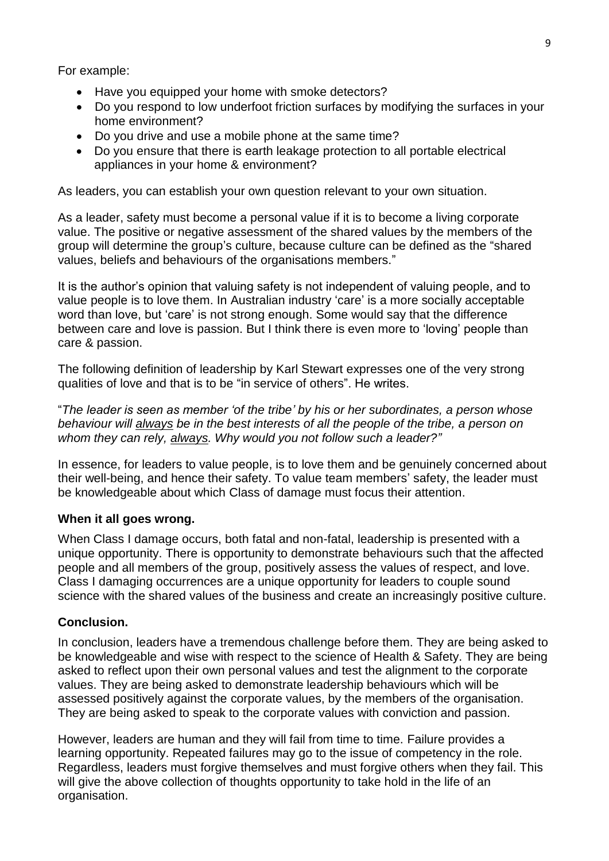For example:

- Have you equipped your home with smoke detectors?
- Do you respond to low underfoot friction surfaces by modifying the surfaces in your home environment?
- Do you drive and use a mobile phone at the same time?
- Do you ensure that there is earth leakage protection to all portable electrical appliances in your home & environment?

As leaders, you can establish your own question relevant to your own situation.

As a leader, safety must become a personal value if it is to become a living corporate value. The positive or negative assessment of the shared values by the members of the group will determine the group's culture, because culture can be defined as the "shared values, beliefs and behaviours of the organisations members."

It is the author's opinion that valuing safety is not independent of valuing people, and to value people is to love them. In Australian industry 'care' is a more socially acceptable word than love, but 'care' is not strong enough. Some would say that the difference between care and love is passion. But I think there is even more to 'loving' people than care & passion.

The following definition of leadership by Karl Stewart expresses one of the very strong qualities of love and that is to be "in service of others". He writes.

"*The leader is seen as member 'of the tribe' by his or her subordinates, a person whose behaviour will always be in the best interests of all the people of the tribe, a person on whom they can rely, always. Why would you not follow such a leader?"*

In essence, for leaders to value people, is to love them and be genuinely concerned about their well-being, and hence their safety. To value team members' safety, the leader must be knowledgeable about which Class of damage must focus their attention.

## **When it all goes wrong.**

When Class I damage occurs, both fatal and non-fatal, leadership is presented with a unique opportunity. There is opportunity to demonstrate behaviours such that the affected people and all members of the group, positively assess the values of respect, and love. Class I damaging occurrences are a unique opportunity for leaders to couple sound science with the shared values of the business and create an increasingly positive culture.

## **Conclusion.**

In conclusion, leaders have a tremendous challenge before them. They are being asked to be knowledgeable and wise with respect to the science of Health & Safety. They are being asked to reflect upon their own personal values and test the alignment to the corporate values. They are being asked to demonstrate leadership behaviours which will be assessed positively against the corporate values, by the members of the organisation. They are being asked to speak to the corporate values with conviction and passion.

However, leaders are human and they will fail from time to time. Failure provides a learning opportunity. Repeated failures may go to the issue of competency in the role. Regardless, leaders must forgive themselves and must forgive others when they fail. This will give the above collection of thoughts opportunity to take hold in the life of an organisation.